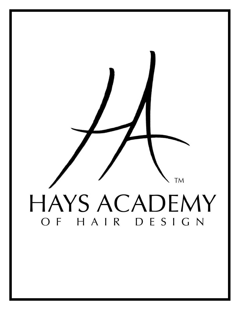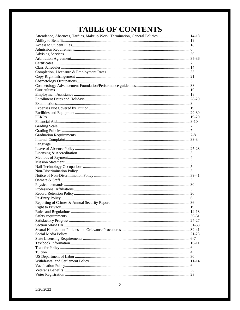# **TABLE OF CONTENTS**

| Attendance, Absences, Tardies, Makeup Work, Termination, General Policies 14-18 |  |
|---------------------------------------------------------------------------------|--|
|                                                                                 |  |
|                                                                                 |  |
|                                                                                 |  |
|                                                                                 |  |
|                                                                                 |  |
|                                                                                 |  |
|                                                                                 |  |
|                                                                                 |  |
|                                                                                 |  |
|                                                                                 |  |
|                                                                                 |  |
|                                                                                 |  |
|                                                                                 |  |
|                                                                                 |  |
|                                                                                 |  |
|                                                                                 |  |
|                                                                                 |  |
|                                                                                 |  |
|                                                                                 |  |
|                                                                                 |  |
|                                                                                 |  |
|                                                                                 |  |
|                                                                                 |  |
|                                                                                 |  |
|                                                                                 |  |
|                                                                                 |  |
|                                                                                 |  |
|                                                                                 |  |
|                                                                                 |  |
|                                                                                 |  |
|                                                                                 |  |
|                                                                                 |  |
|                                                                                 |  |
|                                                                                 |  |
|                                                                                 |  |
|                                                                                 |  |
|                                                                                 |  |
|                                                                                 |  |
|                                                                                 |  |
|                                                                                 |  |
|                                                                                 |  |
|                                                                                 |  |
|                                                                                 |  |
|                                                                                 |  |
|                                                                                 |  |
|                                                                                 |  |
|                                                                                 |  |
|                                                                                 |  |
|                                                                                 |  |
|                                                                                 |  |
|                                                                                 |  |
|                                                                                 |  |
|                                                                                 |  |
|                                                                                 |  |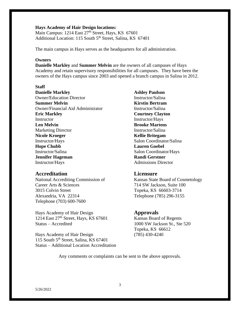#### **Hays Academy of Hair Design locations:**

Main Campus: 1214 East 27<sup>th</sup> Street, Hays, KS 67601 Additional Location: 115 South 5<sup>th</sup> Street, Salina, KS 67401

The main campus in Hays serves as the headquarters for all administration.

#### **Owners**

**Danielle Markley** and **Summer Melvin** are the owners of all campuses of Hays Academy and retain supervisory responsibilities for all campuses. They have been the owners of the Hays campus since 2003 and opened a branch campus in Salina in 2012.

#### **Staff**

**Danielle Markley Ashley Paulson** Owner/Education Director Instructor/Salina **Summer Melvin Kirstin Bertram** Owner/Financial Aid Administrator **Instructor/Salina Eric Markley Courtney Clayton** Instructor Instructor/Hays **Len Melvin Brooke Martens** Marketing Director **Instructor**/Salina **Nicole Kroeger Kellie Britegam** Instructor/Hays Salon Coordinator/Salina **Hope Chubb Lauren Goebel** Instructor/Salina Salon Coordinator/Hays **Jennifer Hageman Randi Gerstner Instructor/Hays** Admissions Director

### **Accreditation Licensure**

National Accrediting Commission of Kansas State Board of Cosmetology Career Arts & Sciences 714 SW Jackson, Suite 100 3015 Colvin Street Topeka, KS 66603-3714 Alexandria, VA 22314 Telephone (785) 296-3155 Telephone (703) 600-7600

Hays Academy of Hair Design **Approvals** 1214 East 27<sup>th</sup> Street, Hays, KS 67601 Kansas Board of Regents Status – Accredited 1000 SW Jackson St., Ste 520

Hays Academy of Hair Design (785) 430-4240 115 South 5th Street, Salina, KS 67401 Status – Additional Location Accreditation

Topeka, KS 66612

Any comments or complaints can be sent to the above approvals.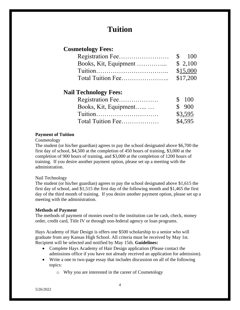# **Tuition**

# **Cosmetology Fees:**

|  | $\frac{\text{S}}{\text{100}}$ |
|--|-------------------------------|
|  | \$2,100                       |
|  | \$15,000                      |
|  | \$17,200                      |

# **Nail Technology Fees:**

| Registration Fee      | \$100   |
|-----------------------|---------|
| Books, Kit, Equipment | \$900   |
| Tuition               | \$3,595 |
| Total Tuition Fee     | \$4,595 |

# **Payment of Tuition**

### Cosmetology

The student (or his/her guardian) agrees to pay the school designated above \$6,700 the first day of school, \$4,500 at the completion of 450 hours of training, \$3,000 at the completion of 900 hours of training, and \$3,000 at the completion of 1200 hours of training. If you desire another payment option, please set up a meeting with the administration.

# Nail Technology

The student (or his/her guardian) agrees to pay the school designated above \$1,615 the first day of school, and \$1,515 the first day of the following month and \$1,465 the first day of the third month of training. If you desire another payment option, please set up a meeting with the administration.

# **Methods of Payment**

The methods of payment of monies owed to the institution can be cash, check, money order, credit card, Title IV or through non-federal agency or loan programs.

Hays Academy of Hair Design is offers one \$500 scholarship to a senior who will graduate from any Kansas High School. All criteria must be received by May 1st. Recipient will be selected and notified by May 15th. **Guidelines:**

- Complete Hays Academy of Hair Design application (Please contact the admissions office if you have not already received an application for admission).
- Write a one to two-page essay that includes discussion on all of the following topics:
	- o Why you are interested in the career of Cosmetology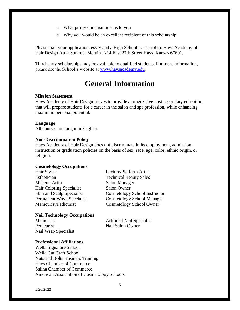- o What professionalism means to you
- o Why you would be an excellent recipient of this scholarship

Please mail your application, essay and a High School transcript to: Hays Academy of Hair Design Attn: Summer Melvin 1214 East 27th Street Hays, Kansas 67601.

Third-party scholarships may be available to qualified students. For more information, please see the School's website at [www.haysacademy.edu.](http://www.haysacademy.edu/)

# **General Information**

#### **Mission Statement**

Hays Academy of Hair Design strives to provide a progressive post-secondary education that will prepare students for a career in the salon and spa profession, while enhancing maximum personal potential.

#### **Language**

All courses are taught in English.

#### **Non-Discrimination Policy**

Hays Academy of Hair Design does not discriminate in its employment, admission, instruction or graduation policies on the basis of sex, race, age, color, ethnic origin, or religion.

#### **Cosmetology Occupations**

| Hair Stylist                     | Lecture/Platform Artist           |
|----------------------------------|-----------------------------------|
| Esthetician                      | <b>Technical Beauty Sales</b>     |
| Makeup Artist                    | Salon Manager                     |
| <b>Hair Coloring Specialist</b>  | <b>Salon Owner</b>                |
| <b>Skin and Scalp Specialist</b> | Cosmetology School Instructor     |
| Permanent Wave Specialist        | <b>Cosmetology School Manager</b> |
| Manicurist/Pedicurist            | <b>Cosmetology School Owner</b>   |
|                                  |                                   |

#### **Nail Technology Occupations**

Pedicurist Nail Salon Owner Nail Wrap Specialist

Manicurist **Manicurist** Artificial Nail Specialist

#### **Professional Affiliations**

Wella Signature School Wella Cut Craft School Nuts and Bolts Business Training Hays Chamber of Commerce Salina Chamber of Commerce American Association of Cosmetology Schools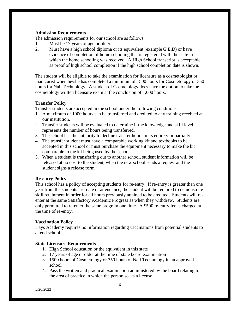# **Admission Requirements**

The admission requirements for our school are as follows:

- 1. Must be 17 years of age or older
- 2. Must have a high school diploma or its equivalent (example G.E.D) or have evidence of completion of home schooling that is registered with the state in which the home schooling was received. A High School transcript is acceptable as proof of high school completion if the high school completion date is shown.

The student will be eligible to take the examination for licensure as a cosmetologist or manicurist when he/she has completed a minimum of 1500 hours for Cosmetology or 350 hours for Nail Technology. A student of Cosmetology does have the option to take the cosmetology written licensure exam at the conclusion of 1,000 hours.

### **Transfer Policy**

Transfer students are accepted in the school under the following conditions:

- 1. A maximum of 1000 hours can be transferred and credited to any training received at our institution.
- 2. Transfer students will be evaluated to determine if the knowledge and skill level represents the number of hours being transferred.
- 3. The school has the authority to decline transfer hours in its entirety or partially.
- 4. The transfer student must have a comparable working kit and textbooks to be accepted in this school or must purchase the equipment necessary to make the kit comparable to the kit being used by the school.
- 5. When a student is transferring out to another school, student information will be released at no cost to the student, when the new school sends a request and the student signs a release form.

# **Re-entry Policy**

This school has a policy of accepting students for re-entry. If re-entry is greater than one year from the students last date of attendance, the student will be required to demonstrate skill retainment in order for all hours previously attained to be credited. Students will reenter at the same Satisfactory Academic Progress as when they withdrew. Students are only permitted to re-enter the same program one time. A \$500 re-entry fee is charged at the time of re-entry.

# **Vaccination Policy**

Hays Academy requires no information regarding vaccinations from potential students to attend school.

# **State Licensure Requirements**

- 1. High School education or the equivalent in this state
- 2. 17 years of age or older at the time of state board examination
- 3. 1500 hours of Cosmetology or 350 hours of Nail Technology in an approved school
- 4. Pass the written and practical examination administered by the board relating to the area of practice in which the person seeks a license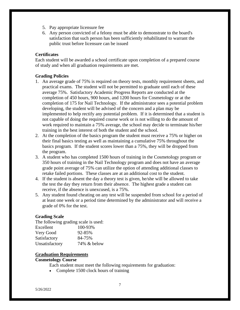- 5. Pay appropriate licensure fee
- 6. Any person convicted of a felony must be able to demonstrate to the board's satisfaction that such person has been sufficiently rehabilitated to warrant the public trust before licensure can be issued

### **Certificates**

Each student will be awarded a school certificate upon completion of a prepared course of study and when all graduation requirements are met.

### **Grading Policies**

- 1. An average grade of 75% is required on theory tests, monthly requirement sheets, and practical exams. The student will not be permitted to graduate until each of these average 75%. Satisfactory Academic Progress Reports are conducted at the completion of 450 hours, 900 hours, and 1200 hours for Cosmetology or at the completion of 175 for Nail Technology. If the administrator sees a potential problem developing, the student will be advised of the concern and a plan may be implemented to help rectify any potential problem. If it is determined that a student is not capable of doing the required course work or is not willing to do the amount of work required to maintain a 75% average, the school may decide to terminate his/her training in the best interest of both the student and the school.
- 2. At the completion of the basics program the student must receive a 75% or higher on their final basics testing as well as maintaining a cumulative 75% throughout the basics program. If the student scores lower than a 75%, they will be dropped from the program.
- 3. A student who has completed 1500 hours of training in the Cosmetology program or 350 hours of training in the Nail Technology program and does not have an average grade point average of 75% can utilize the option of attending additional classes to retake failed portions. These classes are at an additional cost to the student.
- 4. If the student is absent the day a theory test is given, he/she will be allowed to take the test the day they return from their absence. The highest grade a student can receive, if the absence is unexcused, is a 75%.
- 5. Any student found cheating on any test will be suspended from school for a period of at least one week or a period time determined by the administrator and will receive a grade of 0% for the test.

# **Grading Scale**

The following grading scale is used: Excellent 100-93% Very Good 92-85% Satisfactory 84-75% Unsatisfactory 74% & below

# **Graduation Requirements**

### **Cosmetology Course**

Each student must meet the following requirements for graduation:

• Complete 1500 clock hours of training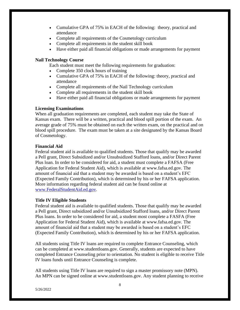- Cumulative GPA of 75% in EACH of the following: theory, practical and attendance
- Complete all requirements of the Cosmetology curriculum
- Complete all requirements in the student skill book
- Have either paid all financial obligations or made arrangements for payment

# **Nail Technology Course**

Each student must meet the following requirements for graduation:

- Complete 350 clock hours of training
- Cumulative GPA of 75% in EACH of the following: theory, practical and attendance
- Complete all requirements of the Nail Technology curriculum
- Complete all requirements in the student skill book
- Have either paid all financial obligations or made arrangements for payment

# **Licensing Examinations**

When all graduation requirements are completed, each student may take the State of Kansas exam. There will be a written, practical and blood spill portion of the exam. An average grade of 75% must be obtained on each the written exam, on the practical and on blood spill procedure. The exam must be taken at a site designated by the Kansas Board of Cosmetology.

# **Financial Aid**

Federal student aid is available to qualified students. Those that qualify may be awarded a Pell grant, Direct Subsidized and/or Unsubsidized Stafford loans, and/or Direct Parent Plus loan. In order to be considered for aid, a student must complete a FAFSA (Free Application for Federal Student Aid), which is available at www.fafsa.ed.gov. The amount of financial aid that a student may be awarded is based on a student's EFC (Expected Family Contribution), which is determined by his or her FAFSA application. More information regarding federal student aid can be found online at [www.FederalStudentAid.ed.gov.](http://www.federalstudentaid.ed.gov/)

# **Title IV Eligible Students**

Federal student aid is available to qualified students. Those that qualify may be awarded a Pell grant, Direct subsidized and/or Unsubsidized Stafford loans, and/or Direct Parent Plus loans. In order to be considered for aid, a student most complete a FASFA (Free Application for Federal Student Aid), which is available at www.fafsa.ed.gov. The amount of financial aid that a student may be awarded is based on a student's EFC (Expected Family Contribution), which is determined by his or her FAFSA application.

All students using Title IV loans are required to complete Entrance Counseling, which can be completed at www.studentloans.gov. Generally, students are expected to have completed Entrance Counseling prior to orientation. No student is eligible to receive Title IV loans funds until Entrance Counseling is complete.

All students using Title IV loans are required to sign a master promissory note (MPN). An MPN can be signed online at www.studentloans.gov. Any student planning to receive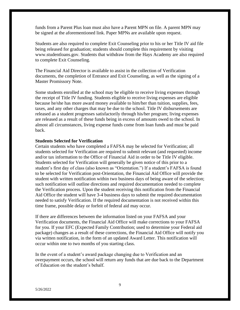funds from a Parent Plus loan must also have a Parent MPN on file. A parent MPN may be signed at the aforementioned link. Paper MPNs are available upon request.

Students are also required to complete Exit Counseling prior to his or her Title IV aid file being released for graduation; students should complete this requirement by visiting www.studentloans.gov. Students that withdraw from the Hays Academy are also required to complete Exit Counseling.

The Financial Aid Director is available to assist in the collection of Verification documents, the completion of Entrance and Exit Counseling, as well as the signing of a Master Promissory Note.

Some students enrolled at the school may be eligible to receive living expenses through the receipt of Title IV funding. Students eligible to receive living expenses are eligible because he/she has more award money available to him/her than tuition, supplies, fees, taxes, and any other charges that may be due to the school. Title IV disbursements are released as a student progresses satisfactorily through his/her program; living expenses are released as a result of these funds being in excess of amounts owed to the school. In almost all circumstances, living expense funds come from loan funds and must be paid back.

#### **Students Selected for Verification**

Certain students who have completed a FAFSA may be selected for Verification; all students selected for Verification are required to submit relevant (and requested) income and/or tax information to the Office of Financial Aid in order to be Title IV eligible. Students selected for Verification will generally be given notice of this prior to a student's first day of class (also known as "Orientation.") If a student's FAFSA is found to be selected for Verification post-Orientation, the Financial Aid Office will provide the student with written notification within two business days of being aware of the selection; such notification will outline directions and required documentation needed to complete the Verification process. Upon the student receiving this notification from the Financial Aid Office the student will have 3-4 business days to submit the required documentation needed to satisfy Verification. If the required documentation is not received within this time frame, possible delay or forfeit of federal aid may occur.

If there are differences between the information listed on your FAFSA and your Verification documents, the Financial Aid Office will make corrections to your FAFSA for you. If your EFC (Expected Family Contribution; used to determine your Federal aid package) changes as a result of these corrections, the Financial Aid Office will notify you via written notification, in the form of an updated Award Letter. This notification will occur within one to two months of you starting class.

In the event of a student's award package changing due to Verification and an overpayment occurs, the school will return any funds that are due back to the Department of Education on the student's behalf.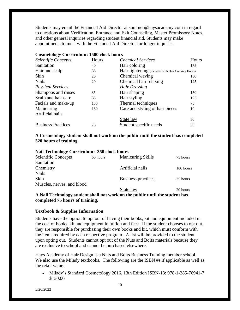Students may email the Financial Aid Director at summer@haysacademy.com in regard to questions about Verification, Entrance and Exit Counseling, Master Promissory Notes, and other general inquiries regarding student financial aid. Students may make appointments to meet with the Financial Aid Director for longer inquiries.

| Comnetology Carrictarum, 1960 clock hours |       |                                                     |       |
|-------------------------------------------|-------|-----------------------------------------------------|-------|
| <b>Scientific Concepts</b>                | Hours | <b>Chemical Services</b>                            | Hours |
| Sanitation                                | 40    | Hair coloring                                       | 175   |
| Hair and scalp                            | 35    | Hair lightening (included with Hair Coloring Hours) |       |
| Skin                                      | 20    | Chemical waving                                     | 150   |
| <b>Nails</b>                              | 20    | Chemical hair relaxing                              | 125   |
| <b>Physical Services</b>                  |       | Hair Dressing                                       |       |
| Shampoos and rinses                       | 35    | Hair shaping                                        | 150   |
| Scalp and hair care                       | 35    | Hair styling                                        | 125   |
| Facials and make-up                       | 150   | Thermal techniques                                  | 75    |
| Manicuring                                | 180   | Care and styling of hair pieces                     | 10    |
| Artificial nails                          |       |                                                     |       |
|                                           |       | State law                                           | 50    |
| <b>Business Practices</b>                 | 75    | Student specific needs                              | 50    |
|                                           |       |                                                     |       |

# **Cosmetology Curriculum: 1500 clock hours**

# **A Cosmetology student shall not work on the public until the student has completed 320 hours of training.**

#### **Nail Technology Curriculum: 350 clock hours**

| <b>Scientific Concepts</b> | 60 hours | <b>Manicuring Skills</b>  | 75 hours  |
|----------------------------|----------|---------------------------|-----------|
| Sanitation                 |          |                           |           |
| Chemistry                  |          | Artificial nails          | 160 hours |
| <b>Nails</b>               |          |                           |           |
| Skin                       |          | <b>Business practices</b> | 35 hours  |
| Muscles, nerves, and blood |          |                           |           |
|                            |          | State law                 | 20 hours  |

**A Nail Technology student shall not work on the public until the student has completed 75 hours of training.**

# **Textbook & Supplies Information**

Students have the option to opt out of having their books, kit and equipment included in the cost of books, kit and equipment in tuition and fees. If the student chooses to opt out, they are responsible for purchasing their own books and kit, which must conform with the items required by each respective program. A list will be provided to the student upon opting out. Students cannot opt out of the Nuts and Bolts materials because they are exclusive to school and cannot be purchased elsewhere.

Hays Academy of Hair Design is a Nuts and Bolts Business Training member school. We also use the Milady textbooks. The following are the ISBN #s if applicable as well as the retail value.

• Milady's Standard Cosmetology 2016, 13th Edition ISBN-13: 978-1-285-76941-7 \$130.00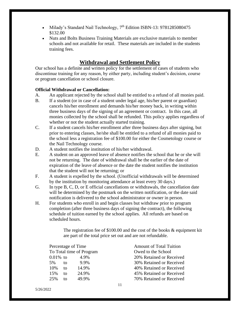- Milady's Standard Nail Technology, 7<sup>th</sup> Edition ISBN-13: 9781285080475 \$132.00
- Nuts and Bolts Business Training Materials are exclusive materials to member schools and not available for retail. These materials are included in the students training fees.

# **Withdrawal and Settlement Policy**

Our school has a definite and written policy for the settlement of cases of students who discontinue training for any reason, by either party, including student's decision, course or program cancellation or school closure.

# **Official Withdrawal or Cancellation:**

- A. An applicant rejected by the school shall be entitled to a refund of all monies paid.
- B. If a student (or in case of a student under legal age, his/her parent or guardian) cancels his/her enrollment and demands his/her money back, in writing within three business days of the signing of an agreement or contract. In this case, all monies collected by the school shall be refunded. This policy applies regardless of whether or not the student actually started training.
- C. If a student cancels his/her enrollment after three business days after signing, but prior to entering classes, he/she shall be entitled to a refund of all monies paid to the school less a registration fee of \$100.00 for either the Cosmetology course or the Nail Technology course.
- D. A student notifies the institution of his/her withdrawal.
- E. A student on an approved leave of absence notifies the school that he or she will not be returning. The date of withdrawal shall be the earlier of the date of expiration of the leave of absence or the date the student notifies the institution that the student will not be returning; or
- F. A student is expelled by the school. (Unofficial withdrawals will be determined by the institution by monitoring attendance at least every 30 days.)
- G. In type B, C, D, or E official cancellations or withdrawals, the cancellation date will be determined by the postmark on the written notification, or the date said notification is delivered to the school administrator or owner in person.
- H. For students who enroll in and begin classes but withdraw prior to program completion (after three business days of signing the contract), the following schedule of tuition earned by the school applies. All refunds are based on scheduled hours.

The registration fee of \$100.00 and the cost of the books & equipment kit are part of the total price set out and are not refundable.

|          | Percentage of Time |                          |
|----------|--------------------|--------------------------|
|          |                    | To Total time of Program |
| 0.01% to |                    | 4.9%                     |
| 5%       | to                 | 9.9%                     |
| 10%      | to                 | 14.9%                    |
| 15%      | to                 | 24.9%                    |
| 25%      | tο                 | 49.9%                    |

Amount of Total Tuition Owed to the School 20% Retained or Received 5% to 9.9% 30% Retained or Received 40% Retained or Received 45% Retained or Received 70% Retained or Received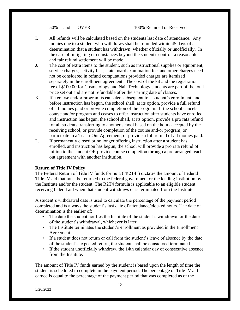- I. All refunds will be calculated based on the students last date of attendance. Any monies due to a student who withdraws shall be refunded within 45 days of a determination that a student has withdrawn, whether officially or unofficially. In the case of mitigating circumstances beyond the student's control, a reasonable and fair refund settlement will be made.
- J. The cost of extra items to the student, such as instructional supplies or equipment, service charges, activity fees, state board examination fee, and other charges need not be considered in refund computations provided charges are itemized separately in the enrollment agreement. The cost of the kit and the registration fee of \$100.00 for Cosmetology and Nail Technology students are part of the total price set out and are not refundable after the starting date of classes.
- K. If a course and/or program is canceled subsequent to a student's enrollment, and before instruction has begun, the school shall, at its option, provide a full refund of all monies paid or provide completion of the program. If the school cancels a course and/or program and ceases to offer instruction after students have enrolled and instruction has begun, the school shall, at its option, provide a pro rata refund for all students transferring to another school based on the hours accepted by the receiving school; or provide completion of the course and/or program; or participate in a Teach-Out Agreement; or provide a full refund of all monies paid.
- L. If permanently closed or no longer offering instruction after a student has enrolled, and instruction has begun, the school will provide a pro rata refund of tuition to the student OR provide course completion through a pre-arranged teach out agreement with another institution.

#### **Return of Title IV Policy**

The Federal Return of Title IV funds formula ("R2T4") dictates the amount of Federal Title IV aid that must be returned to the federal government or the lending institution by the Institute and/or the student. The R2T4 formula is applicable to an eligible student receiving federal aid when that student withdraws or is terminated from the Institute.

A student's withdrawal date is used to calculate the percentage of the payment period completed and is always the student's last date of attendance/clocked hours. The date of determination is the earlier of:

- The date the student notifies the Institute of the student's withdrawal or the date of the student's withdrawal, whichever is later.
- The Institute terminates the student's enrollment as provided in the Enrollment Agreement.
- If a student does not return or call from the student's leave of absence by the date of the student's expected return, the student shall be considered terminated.
- If the student unofficially withdrew, the 14th calendar day of consecutive absence from the Institute.

The amount of Title IV funds earned by the student is based upon the length of time the student is scheduled to complete in the payment period. The percentage of Title IV aid earned is equal to the percentage of the payment period that was completed as of the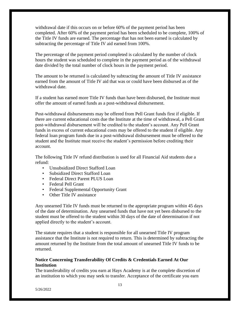withdrawal date if this occurs on or before 60% of the payment period has been completed. After 60% of the payment period has been scheduled to be complete, 100% of the Title IV funds are earned. The percentage that has not been earned is calculated by subtracting the percentage of Title IV aid earned from 100%.

The percentage of the payment period completed is calculated by the number of clock hours the student was scheduled to complete in the payment period as of the withdrawal date divided by the total number of clock hours in the payment period.

The amount to be returned is calculated by subtracting the amount of Title IV assistance earned from the amount of Title IV aid that was or could have been disbursed as of the withdrawal date.

If a student has earned more Title IV funds than have been disbursed, the Institute must offer the amount of earned funds as a post-withdrawal disbursement.

Post-withdrawal disbursements may be offered from Pell Grant funds first if eligible. If there are current educational costs due the Institute at the time of withdrawal, a Pell Grant post-withdrawal disbursement will be credited to the student's account. Any Pell Grant funds in excess of current educational costs may be offered to the student if eligible. Any federal loan program funds due in a post-withdrawal disbursement must be offered to the student and the Institute must receive the student's permission before crediting their account.

The following Title IV refund distribution is used for all Financial Aid students due a refund:

- Unsubsidized Direct Stafford Loan
- Subsidized Direct Stafford Loan
- Federal Direct Parent PLUS Loan
- Federal Pell Grant
- Federal Supplemental Opportunity Grant
- Other Title IV assistance

Any unearned Title IV funds must be returned to the appropriate program within 45 days of the date of determination. Any unearned funds that have not yet been disbursed to the student must be offered to the student within 30 days of the date of determination if not applied directly to the student's account.

The statute requires that a student is responsible for all unearned Title IV program assistance that the Institute is not required to return. This is determined by subtracting the amount returned by the Institute from the total amount of unearned Title IV funds to be returned.

# **Notice Concerning Transferability Of Credits & Credentials Earned At Our Institution**

The transferability of credits you earn at Hays Academy is at the complete discretion of an institution to which you may seek to transfer. Acceptance of the certificate you earn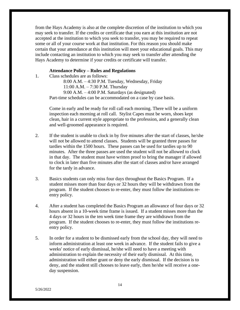from the Hays Academy is also at the complete discretion of the institution to which you may seek to transfer. If the credits or certificate that you earn at this institution are not accepted at the institution to which you seek to transfer, you may be required to repeat some or all of your course work at that institution. For this reason you should make certain that your attendance at this institution will meet your educational goals. This may include contacting an institution to which you may seek to transfer after attending the Hays Academy to determine if your credits or certificate will transfer.

#### **Attendance Policy – Rules and Regulations**

1. Class schedules are as follows:

8:00 A.M. – 4:30 P.M. Tuesday, Wednesday, Friday 11:00 A.M. – 7:30 P.M. Thursday 9:00 A.M. – 4:00 P.M. Saturdays (as designated) Part-time schedules can be accommodated on a case by case basis.

Come in early and be ready for roll call each morning. There will be a uniform inspection each morning at roll call. Stylist Capes must be worn, shoes kept clean, hair in a current style appropriate to the profession, and a generally clean and well-groomed appearance is required.

- 2. If the student is unable to clock in by five minutes after the start of classes, he/she will not be allowed to attend classes. Students will be granted three passes for tardies within the 1500 hours. These passes can be used for tardies up to 90 minutes. After the three passes are used the student will not be allowed to clock in that day. The student must have written proof to bring the manager if allowed to clock in later than five minutes after the start of classes and/or have arranged for the tardy in advance.
- 3. Basics students can only miss four days throughout the Basics Program. If a student misses more than four days or 32 hours they will be withdrawn from the program. If the student chooses to re-enter, they must follow the institutions reentry policy.
- 4. After a student has completed the Basics Program an allowance of four days or 32 hours absent in a 10-week time frame is issued. If a student misses more than the 4 days or 32 hours in the ten week time frame they are withdrawn from the program. If the student chooses to re-enter, they must follow the institutions reentry policy.
- 5. In order for a student to be dismissed early from the school day, they will need to inform administration at least one week in advance. If the student fails to give a weeks' notice of early dismissal, he/she will need to have a meeting with administration to explain the necessity of their early dismissal. At this time, administration will either grant or deny the early dismissal. If the decision is to deny, and the student still chooses to leave early, then he/she will receive a oneday suspension.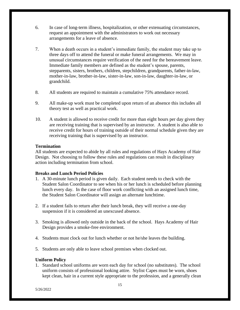- 6. In case of long-term illness, hospitalization, or other extenuating circumstances, request an appointment with the administrators to work out necessary arrangements for a leave of absence.
- 7. When a death occurs in a student's immediate family, the student may take up to three days off to attend the funeral or make funeral arrangements. We may in unusual circumstances require verification of the need for the bereavement leave. Immediate family members are defined as the student's spouse, parents, stepparents, sisters, brothers, children, stepchildren, grandparents, father-in-law, mother-in-law, brother-in-law, sister-in-law, son-in-law, daughter-in-law, or grandchild.
- 8. All students are required to maintain a cumulative 75% attendance record.
- 9. All make-up work must be completed upon return of an absence this includes all theory test as well as practical work.
- 10. A student is allowed to receive credit for more than eight hours per day given they are receiving training that is supervised by an instructor. A student is also able to receive credit for hours of training outside of their normal schedule given they are receiving training that is supervised by an instructor.

### **Termination**

All students are expected to abide by all rules and regulations of Hays Academy of Hair Design. Not choosing to follow these rules and regulations can result in disciplinary action including termination from school.

#### **Breaks and Lunch Period Policies**

- 1. A 30-minute lunch period is given daily. Each student needs to check with the Student Salon Coordinator to see when his or her lunch is scheduled before planning lunch every day. In the case of floor work conflicting with an assigned lunch time, the Student Salon Coordinator will assign an alternate lunchtime.
- 2. If a student fails to return after their lunch break, they will receive a one-day suspension if it is considered an unexcused absence.
- 3. Smoking is allowed only outside in the back of the school. Hays Academy of Hair Design provides a smoke-free environment.
- 4. Students must clock out for lunch whether or not he/she leaves the building.
- 5. Students are only able to leave school premises when clocked out.

#### **Uniform Policy**

1. Standard school uniforms are worn each day for school (no substitutes). The school uniform consists of professional looking attire. Stylist Capes must be worn, shoes kept clean, hair in a current style appropriate to the profession, and a generally clean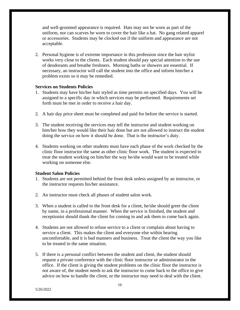and well-groomed appearance is required. Hats may not be worn as part of the uniform, nor can scarves be worn to cover the hair like a hat. No gang related apparel or accessories. Students may be clocked out if the uniform and appearance are not acceptable.

2. Personal hygiene is of extreme importance in this profession since the hair stylist works very close to the clients. Each student should pay special attention to the use of deodorants and breathe freshners. Morning baths or showers are essential. If necessary, an instructor will call the student into the office and inform him/her a problem exists so it may be remedied.

### **Services on Students Policies**

- 1. Students may have his/her hair styled as time permits on specified days. You will be assigned to a specific day in which services may be performed. Requirements set forth must be met in order to receive a hair day.
- 2. A hair day price sheet must be completed and paid for before the service is started.
- 3. The student receiving the services may tell the instructor and student working on him/her how they would like their hair done but are not allowed to instruct the student doing the service on how it should be done. That is the instructor's duty.
- 4. Students working on other students must have each phase of the work checked by the clinic floor instructor the same as other clinic floor work. The student is expected to treat the student working on him/her the way he/she would want to be treated while working on someone else.

#### **Student Salon Policies**

- 1. Students are not permitted behind the front desk unless assigned by an instructor, or the instructor requests his/her assistance.
- 2. An instructor must check all phases of student salon work.
- 3. When a student is called to the front desk for a client, he/she should greet the client by name, in a professional manner. When the service is finished, the student and receptionist should thank the client for coming in and ask them to come back again.
- 4. Students are not allowed to refuse service to a client or complain about having to service a client. This makes the client and everyone else within hearing uncomfortable, and it is bad manners and business. Treat the client the way you like to be treated in the same situation.
- 5. If there is a personal conflict between the student and client, the student should request a private conference with the clinic floor instructor or administrator in the office. If the client is giving the student problems on the clinic floor the instructor is not aware of, the student needs to ask the instructor to come back to the office to give advice on how to handle the client, or the instructor may need to deal with the client.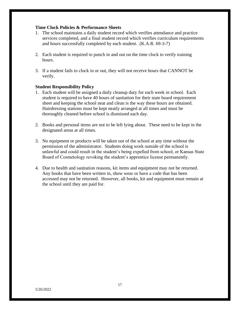### **Time Clock Policies & Performance Sheets**

- 1. The school maintains a daily student record which verifies attendance and practice services completed, and a final student record which verifies curriculum requirements and hours successfully completed by each student. (K.A.R. 69-3-7)
- 2. Each student is required to punch in and out on the time clock to verify training hours.
- 3. If a student fails to clock in or out, they will not receive hours that CANNOT be verify.

### **Student Responsibility Policy**

- 1. Each student will be assigned a daily cleanup duty for each week in school. Each student is required to have 40 hours of sanitation for their state board requirement sheet and keeping the school neat and clean is the way these hours are obtained. Hairdressing stations must be kept neatly arranged at all times and must be thoroughly cleaned before school is dismissed each day.
- 2. Books and personal items are not to be left lying about. These need to be kept in the designated areas at all times.
- 3. No equipment or products will be taken out of the school at any time without the permission of the administrator. Students doing work outside of the school is unlawful and could result in the student's being expelled from school, or Kansas State Board of Cosmetology revoking the student's apprentice license permanently.
- 4. Due to health and sanitation reasons, kit items and equipment may not be returned. Any books that have been written in, show wear or have a code that has been accessed may not be returned. However, all books, kit and equipment must remain at the school until they are paid for.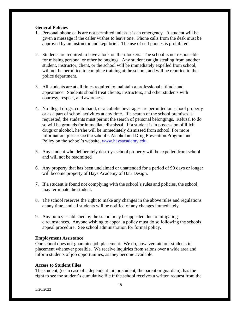#### **General Policies**

- 1. Personal phone calls are not permitted unless it is an emergency. A student will be given a message if the caller wishes to leave one. Phone calls from the desk must be approved by an instructor and kept brief. The use of cell phones is prohibited.
- 2. Students are required to have a lock on their lockers. The school is not responsible for missing personal or other belongings. Any student caught stealing from another student, instructor, client, or the school will be immediately expelled from school, will not be permitted to complete training at the school, and will be reported to the police department.
- 3. All students are at all times required to maintain a professional attitude and appearance. Students should treat clients, instructors, and other students with courtesy, respect, and awareness.
- 4. No illegal drugs, contraband, or alcoholic beverages are permitted on school property or as a part of school activities at any time. If a search of the school premises is requested, the students must permit the search of personal belongings. Refusal to do so will be grounds for immediate dismissal. If a student is in possession of illicit drugs or alcohol, he/she will be immediately dismissed from school. For more information, please see the school's Alcohol and Drug Prevention Program and Policy on the school's website, [www.haysacademy.edu.](http://www.haysacademy.edu/)
- 5. Any student who deliberately destroys school property will be expelled from school and will not be readmitted
- 6. Any property that has been unclaimed or unattended for a period of 90 days or longer will become property of Hays Academy of Hair Design.
- 7. If a student is found not complying with the school's rules and policies, the school may terminate the student.
- 8. The school reserves the right to make any changes in the above rules and regulations at any time, and all students will be notified of any changes immediately.
- 9. Any policy established by the school may be appealed due to mitigating circumstances. Anyone wishing to appeal a policy must do so following the schools appeal procedure. See school administration for formal policy.

#### **Employment Assistance**

Our school does not guarantee job placement. We do, however, aid our students in placement whenever possible. We receive inquiries from salons over a wide area and inform students of job opportunities, as they become available.

# **Access to Student Files**

The student, (or in case of a dependent minor student, the parent or guardian), has the right to see the student's cumulative file if the school receives a written request from the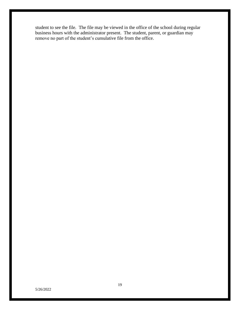student to see the file. The file may be viewed in the office of the school during regular business hours with the administrator present. The student, parent, or guardian may remove no part of the student's cumulative file from the office.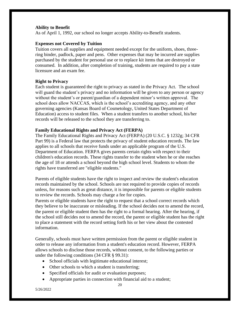#### **Ability to Benefit**

As of April 1, 1992, our school no longer accepts Ability-to-Benefit students.

#### **Expenses not Covered by Tuition**

Tuition covers all supplies and equipment needed except for the uniform, shoes, threering binder, padlock, paper and pens. Other expenses that may be incurred are supplies purchased by the student for personal use or to replace kit items that are destroyed or consumed. In addition, after completion of training, students are required to pay a state licensure and an exam fee.

### **Right to Privacy**

Each student is guaranteed the right to privacy as stated in the Privacy Act. The school will guard the student's privacy and no information will be given to any person or agency without the student's or parent/guardian of a dependent minor's written approval. The school does allow NACCAS, which is the school's accrediting agency, and any other governing agencies (Kansas Board of Cosmetology, United States Department of Education) access to student files. When a student transfers to another school, his/her records will be released to the school they are transferring to.

### **Family Educational Rights and Privacy Act (FERPA)**

The Family Educational Rights and Privacy Act (FERPA) (20 U.S.C. § 1232g; 34 CFR Part 99) is a Federal law that protects the privacy of student education records. The law applies to all schools that receive funds under an applicable program of the U.S. Department of Education. FERPA gives parents certain rights with respect to their children's education records. These rights transfer to the student when he or she reaches the age of 18 or attends a school beyond the high school level. Students to whom the rights have transferred are "eligible students."

Parents of eligible students have the right to inspect and review the student's education records maintained by the school. Schools are not required to provide copies of records unless, for reasons such as great distance, it is impossible for parents or eligible students to review the records. Schools may charge a fee for copies.

Parents or eligible students have the right to request that a school correct records which they believe to be inaccurate or misleading. If the school decides not to amend the record, the parent or eligible student then has the right to a formal hearing. After the hearing, if the school still decides not to amend the record, the parent or eligible student has the right to place a statement with the record setting forth his or her view about the contested information.

Generally, schools must have written permission from the parent or eligible student in order to release any information from a student's education record. However, FERPA allows schools to disclose those records, without consent, to the following parties or under the following conditions (34 CFR § 99.31):

- School officials with legitimate educational interest;
- Other schools to which a student is transferring;
- Specified officials for audit or evaluation purposes;
- Appropriate parties in connection with financial aid to a student;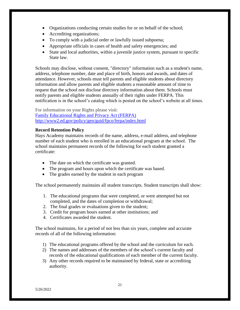- Organizations conducting certain studies for or on behalf of the school;
- Accrediting organizations;
- To comply with a judicial order or lawfully issued subpoena;
- Appropriate officials in cases of health and safety emergencies; and
- State and local authorities, within a juvenile justice system, pursuant to specific State law.

Schools may disclose, without consent, "directory" information such as a student's name, address, telephone number, date and place of birth, honors and awards, and dates of attendance. However, schools must tell parents and eligible students about directory information and allow parents and eligible students a reasonable amount of time to request that the school not disclose directory information about them. Schools must notify parents and eligible students annually of their rights under FERPA. This notification is in the school's catalog which is posted on the school's website at all times.

For information on your Rights please visit: [Family Educational Rights and Privacy](http://www2.ed.gov/policy/gen/guid/fpco/ferpa/index.html) Act (FERPA) <http://www2.ed.gov/policy/gen/guid/fpco/ferpa/index.html>

# **Record Retention Policy**

Hays Academy maintains records of the name, address, e-mail address, and telephone number of each student who is enrolled in an educational program at the school. The school maintains permanent records of the following for each student granted a certificate:

- The date on which the certificate was granted.
- The program and hours upon which the certificate was based.
- The grades earned by the student in each program

The school permanently maintains all student transcripts. Student transcripts shall show:

- 1. The educational programs that were completed, or were attempted but not completed, and the dates of completion or withdrawal;
- 2. The final grades or evaluations given to the student;
- 3. Credit for program hours earned at other institutions; and
- 4. Certificates awarded the student.

The school maintains, for a period of not less than six years, complete and accurate records of all of the following information:

- 1) The educational programs offered by the school and the curriculum for each.
- 2) The names and addresses of the members of the school's current faculty and records of the educational qualifications of each member of the current faculty.
- 3) Any other records required to be maintained by federal, state or accrediting authority.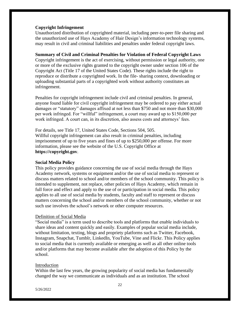#### **Copyright Infringement**

Unauthorized distribution of copyrighted material, including peer-to-peer file sharing and the unauthorized use of Hays Academy of Hair Design's information technology systems, may result in civil and criminal liabilities and penalties under federal copyright laws.

### **Summary of Civil and Criminal Penalties for Violation of Federal Copyright Laws**

Copyright infringement is the act of exercising, without permission or legal authority, one or more of the exclusive rights granted to the copyright owner under section 106 of the Copyright Act (Title 17 of the United States Code). These rights include the right to reproduce or distribute a copyrighted work. In the file- sharing context, downloading or uploading substantial parts of a copyrighted work without authority constitutes an infringement.

Penalties for copyright infringement include civil and criminal penalties. In general, anyone found liable for civil copyright infringement may be ordered to pay either actual damages or "statutory" damages affixed at not less than \$750 and not more than \$30,000 per work infringed. For "willful" infringement, a court may award up to \$150,000 per work infringed. A court can, in its discretion, also assess costs and attorneys' fees.

For details, see Title 17, United States Code, Sections 504, 505. Willful copyright infringement can also result in criminal penalties, including imprisonment of up to five years and fines of up to \$250,000 per offense. For more information, please see the website of the U.S. Copyright Office at **https://copyright.gov**.

#### **Social Media Policy**

This policy provides guidance concerning the use of social media through the Hays Academy network, systems or equipment and/or the use of social media to represent or discuss matters related to school and/or members of the school community. This policy is intended to supplement, not replace, other policies of Hays Academy, which remain in full force and effect and apply to the use of or participation in social media. This policy applies to all use of social media by students, faculty and staff to represent or discuss matters concerning the school and/or members of the school community, whether or not such use involves the school's network or other computer resources.

#### Definition of Social Media

"Social media" is a term used to describe tools and platforms that enable individuals to share ideas and content quickly and easily. Examples of popular social media include, without limitation, texting, blogs and propriety platforms such as Twitter, Facebook, Instagram, Snapchat, Tumblr, LinkedIn, YouTube, Vine and Flickr. This Policy applies to social media that is currently available or emerging as well as all other online tools and/or platforms that may become available after the adoption of this Policy by the school.

#### **Introduction**

Within the last few years, the growing popularity of social media has fundamentally changed the way we communicate as individuals and as an institution. The school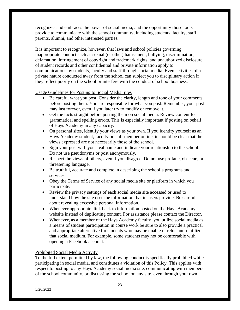recognizes and embraces the power of social media, and the opportunity those tools provide to communicate with the school community, including students, faculty, staff, parents, alumni, and other interested parties.

It is important to recognize, however, that laws and school policies governing inappropriate conduct such as sexual (or other) harassment, bullying, discrimination, defamation, infringement of copyright and trademark rights, and unauthorized disclosure of student records and other confidential and private information apply to communications by students, faculty and staff through social media. Even activities of a private nature conducted away from the school can subject you to disciplinary action if they reflect poorly on the school or interfere with the conduct of school business.

Usage Guidelines for Posting to Social Media Sites

- Be careful what you post. Consider the clarity, length and tone of your comments before posting them. You are responsible for what you post. Remember, your post may last forever, even if you later try to modify or remove it.
- Get the facts straight before posting them on social media. Review content for grammatical and spelling errors. This is especially important if posting on behalf of Hays Academy in any capacity.
- On personal sites, identify your views as your own. If you identify yourself as an Hays Academy student, faculty or staff member online, it should be clear that the views expressed are not necessarily those of the school.
- Sign your post with your real name and indicate your relationship to the school. Do not use pseudonyms or post anonymously.
- Respect the views of others, even if you disagree. Do not use profane, obscene, or threatening language.
- Be truthful, accurate and complete in describing the school's programs and services.
- Obey the Terms of Service of any social media site or platform in which you participate.
- Review the privacy settings of each social media site accessed or used to understand how the site uses the information that its users provide. Be careful about revealing excessive personal information.
- Whenever appropriate, link back to information posted on the Hays Academy website instead of duplicating content. For assistance please contact the Director.
- Whenever, as a member of the Hays Academy faculty, you utilize social media as a means of student participation in course work be sure to also provide a practical and appropriate alternative for students who may be unable or reluctant to utilize that social medium. For example, some students may not be comfortable with opening a Facebook account.

# Prohibited Social Media Activity

To the full extent permitted by law, the following conduct is specifically prohibited while participating in social media, and constitutes a violation of this Policy. This applies with respect to posting to any Hays Academy social media site, communicating with members of the school community, or discussing the school on any site, even through your own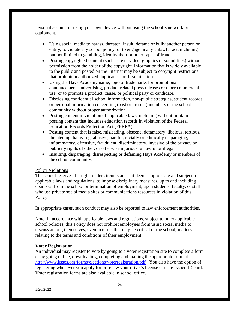personal account or using your own device without using the school's network or equipment.

- Using social media to harass, threaten, insult, defame or bully another person or entity; to violate any school policy; or to engage in any unlawful act, including but not limited to gambling, identity theft or other types of fraud.
- Posting copyrighted content (such as text, video, graphics or sound files) without permission from the holder of the copyright. Information that is widely available to the public and posted on the Internet may be subject to copyright restrictions that prohibit unauthorized duplication or dissemination.
- Using the Hays Academy name, logo or trademarks for promotional announcements, advertising, product-related press releases or other commercial use, or to promote a product, cause, or political party or candidate.
- Disclosing confidential school information, non-public strategies, student records, or personal information concerning (past or present) members of the school community without proper authorization.
- Posting content in violation of applicable laws, including without limitation posting content that includes education records in violation of the Federal Education Records Protection Act (FERPA).
- Posting content that is false, misleading, obscene, defamatory, libelous, tortious, threatening, harassing, abusive, hateful, racially or ethnically disparaging, inflammatory, offensive, fraudulent, discriminatory, invasive of the privacy or publicity rights of other, or otherwise injurious, unlawful or illegal.
- Insulting, disparaging, disrespecting or defaming Hays Academy or members of the school community.

# Policy Violations

The school reserves the right, under circumstances it deems appropriate and subject to applicable laws and regulations, to impose disciplinary measures, up to and including dismissal from the school or termination of employment, upon students, faculty, or staff who use private social media sites or communications resources in violation of this Policy.

In appropriate cases, such conduct may also be reported to law enforcement authorities.

Note: In accordance with applicable laws and regulations, subject to other applicable school policies, this Policy does not prohibit employees from using social media to discuss among themselves, even in terms that may be critical of the school, matters relating to the terms and conditions of their employment

# **Voter Registration**

An individual may register to vote by going to a voter registration site to complete a form or by going online, downloading, completing and mailing the appropriate form at [http://www.kssos.org/forms/elections/voterregistration.pdf.](http://www.kssos.org/forms/elections/voterregistration.pdf) You also have the option of registering whenever you apply for or renew your driver's license or state‐issued ID card. Voter registration forms are also available in school office.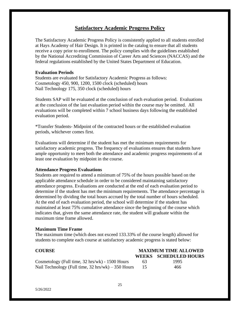# **Satisfactory Academic Progress Policy**

The Satisfactory Academic Progress Policy is consistently applied to all students enrolled at Hays Academy of Hair Design. It is printed in the catalog to ensure that all students receive a copy prior to enrollment. The policy complies with the guidelines established by the National Accrediting Commission of Career Arts and Sciences (NACCAS) and the federal regulations established by the United States Department of Education.

#### **Evaluation Periods**

Students are evaluated for Satisfactory Academic Progress as follows: Cosmetology 450, 900, 1200, 1500 clock (scheduled) hours Nail Technology 175, 350 clock (scheduled) hours

Students SAP will be evaluated at the conclusion of each evaluation period. Evaluations at the conclusion of the last evaluation period within the course may be omitted. All evaluations will be completed within 7 school business days following the established evaluation period.

\*Transfer Students- Midpoint of the contracted hours or the established evaluation periods, whichever comes first.

Evaluations will determine if the student has met the minimum requirements for satisfactory academic progress. The frequency of evaluations ensures that students have ample opportunity to meet both the attendance and academic progress requirements of at least one evaluation by midpoint in the course.

#### **Attendance Progress Evaluations**

Students are required to attend a minimum of 75% of the hours possible based on the applicable attendance schedule in order to be considered maintaining satisfactory attendance progress. Evaluations are conducted at the end of each evaluation period to determine if the student has met the minimum requirements. The attendance percentage is determined by dividing the total hours accrued by the total number of hours scheduled. At the end of each evaluation period, the school will determine if the student has maintained at least 75% cumulative attendance since the beginning of the course which indicates that, given the same attendance rate, the student will graduate within the maximum time frame allowed.

#### **Maximum Time Frame**

The maximum time (which does not exceed 133.33% of the course length) allowed for students to complete each course at satisfactory academic progress is stated below:

| <b>COURSE</b>                                                                  | <b>MAXIMUM TIME ALLOWED</b> |                              |
|--------------------------------------------------------------------------------|-----------------------------|------------------------------|
|                                                                                |                             | <b>WEEKS SCHEDULED HOURS</b> |
| Cosmetology (Full time, 32 hrs/wk) - 1500 Hours                                | 63                          | 1995                         |
| Nail Technology (Full time, $32 \text{ hrs}/\text{wk}$ ) – $350 \text{ Hours}$ |                             | 466                          |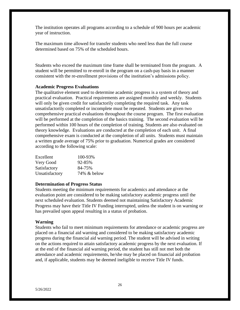The institution operates all programs according to a schedule of 900 hours per academic year of instruction.

The maximum time allowed for transfer students who need less than the full course determined based on 75% of the scheduled hours.

Students who exceed the maximum time frame shall be terminated from the program. A student will be permitted to re-enroll in the program on a cash-pay basis in a manner consistent with the re-enrollment provisions of the institution's admissions policy.

### **Academic Progress Evaluations**

The qualitative element used to determine academic progress is a system of theory and practical evaluation. Practical requirements are assigned monthly and weekly. Students will only be given credit for satisfactorily completing the required task. Any task unsatisfactorily completed or incomplete must be repeated. Students are given two comprehensive practical evaluations throughout the course program. The first evaluation will be performed at the completion of the basics training. The second evaluation will be performed within 100 hours of the completion of training. Students are also evaluated on theory knowledge. Evaluations are conducted at the completion of each unit. A final comprehensive exam is conducted at the completion of all units. Students must maintain a written grade average of 75% prior to graduation. Numerical grades are considered according to the following scale:

| Excellent      | 100-93%     |
|----------------|-------------|
| Very Good      | 92-85%      |
| Satisfactory   | 84-75%      |
| Unsatisfactory | 74% & below |

# **Determination of Progress Status**

Students meeting the minimum requirements for academics and attendance at the evaluation point are considered to be making satisfactory academic progress until the next scheduled evaluation. Students deemed not maintaining Satisfactory Academic Progress may have their Title IV Funding interrupted, unless the student is on warning or has prevailed upon appeal resulting in a status of probation.

#### **Warning**

Students who fail to meet minimum requirements for attendance or academic progress are placed on a financial aid warning and considered to be making satisfactory academic progress during the financial aid warning period. The student will be advised in writing on the actions required to attain satisfactory academic progress by the next evaluation. If at the end of the financial aid warning period, the student has still not met both the attendance and academic requirements, he/she may be placed on financial aid probation and, if applicable, students may be deemed ineligible to receive Title IV funds.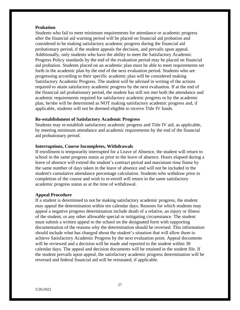#### **Probation**

Students who fail to meet minimum requirements for attendance or academic progress after the financial aid warning period will be placed on financial aid probation and considered to be making satisfactory academic progress during the financial aid probationary period, if the student appeals the decision, and prevails upon appeal. Additionally, only students who have the ability to meet the Satisfactory Academic Progress Policy standards by the end of the evaluation period may be placed on financial aid probation. Students placed on an academic plan must be able to meet requirements set forth in the academic plan by the end of the next evaluation period. Students who are progressing according to their specific academic plan will be considered making Satisfactory Academic Progress. The student will be advised in writing of the actions required to attain satisfactory academic progress by the next evaluation. If at the end of the financial aid probationary period, the student has still not met both the attendance and academic requirements required for satisfactory academic progress or by the academic plan, he/she will be determined as NOT making satisfactory academic progress and, if applicable, students will not be deemed eligible to receive Title IV funds.

#### **Re-establishment of Satisfactory Academic Progress**

Students may re-establish satisfactory academic progress and Title IV aid, as applicable, by meeting minimum attendance and academic requirements by the end of the financial aid probationary period.

#### **Interruptions, Course Incompletes, Withdrawals**

If enrollment is temporarily interrupted for a Leave of Absence, the student will return to school in the same progress status as prior to the leave of absence. Hours elapsed during a leave of absence will extend the student's contract period and maximum time frame by the same number of days taken in the leave of absence and will not be included in the student's cumulative attendance percentage calculation. Students who withdraw prior to completion of the course and wish to re-enroll will return in the same satisfactory academic progress status as at the time of withdrawal.

#### **Appeal Procedure**

If a student is determined to not be making satisfactory academic progress, the student may appeal the determination within ten calendar days. Reasons for which students may appeal a negative progress determination include death of a relative, an injury or illness of the student, or any other allowable special or mitigating circumstance. The student must submit a written appeal to the school on the designated form with supporting documentation of the reasons why the determination should be reversed. This information should include what has changed about the student's situation that will allow them to achieve Satisfactory Academic Progress by the next evaluation point. Appeal documents will be reviewed and a decision will be made and reported to the student within 30 calendar days. The appeal and decision documents will be retained in the student file. If the student prevails upon appeal, the satisfactory academic progress determination will be reversed and federal financial aid will be reinstated, if applicable.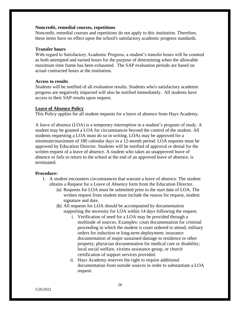#### **Noncredit, remedial courses, repetitions**

Noncredit, remedial courses and repetitions do not apply to this institution. Therefore, these items have no effect upon the school's satisfactory academic progress standards.

#### **Transfer hours**

With regard to Satisfactory Academic Progress, a student's transfer hours will be counted as both attempted and earned hours for the purpose of determining when the allowable maximum time frame has been exhausted. The SAP evaluation periods are based on actual contracted hours at the institution.

#### **Access to results**

Students will be notified of all evaluation results. Students who's satisfactory academic progress are negatively impacted will also be notified immediately. All students have access to their SAP results upon request.

#### **Leave of Absence Policy**

This Policy applies for all student requests for a leave of absence from Hays Academy.

A leave of absence (LOA) is a temporary interruption in a student's program of study. A student may be granted a LOA for circumstances beyond the control of the student. All students requesting a LOA must do so in writing. LOAs may be approved for a minimum/maximum of 180 calendar days in a 12-month period. LOA requests must be approved by Education Director. Students will be notified of approval or denial for the written request of a leave of absence. A student who takes an unapproved leave of absence or fails to return to the school at the end of an approved leave of absence, is terminated.

#### **Procedure:**

- 1. A student encounters circumstances that warrant a leave of absence. The student obtains a Request for a Leave of Absence form from the Education Director.
	- (a) Requests for LOA must be submitted prior to the start date of LOA. The written request from student must include the reason for request, student signature and date.
	- (b) All requests for LOA should be accompanied by documentation supporting the necessity for LOA within 14 days following the request.
		- i. Verification of need for a LOA may be provided through a multitude of sources. Examples: court documentation for criminal proceeding in which the student is court ordered to attend, military orders for induction or long-term deployment; insurance documentation of major sustained damage to residence or other property; physician documentation for medical care or disability; local social welfare, victims assistance group, or church certification of support services provided.
		- ii. Hays Academy reserves the right to require additional documentation from outside sources in order to substantiate a LOA request.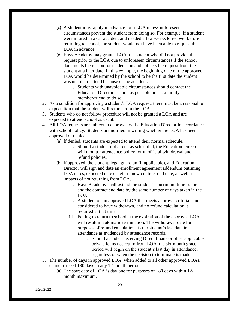- (c) A student must apply in advance for a LOA unless unforeseen circumstances prevent the student from doing so. For example, if a student were injured in a car accident and needed a few weeks to recover before returning to school, the student would not have been able to request the LOA in advance.
- (d) Hays Academy may grant a LOA to a student who did not provide the request prior to the LOA due to unforeseen circumstances if the school documents the reason for its decision and collects the request from the student at a later date. In this example, the beginning date of the approved LOA would be determined by the school to be the first date the student was unable to attend because of the accident.
	- i. Students with unavoidable circumstances should contact the Education Director as soon as possible or ask a family member/friend to do so.
- 2. As a condition for approving a student's LOA request, there must be a reasonable expectation that the student will return from the LOA.
- 3. Students who do not follow procedure will not be granted a LOA and are expected to attend school as usual.
- 4. All LOA requests are subject to approval by the Education Director in accordance with school policy. Students are notified in writing whether the LOA has been approved or denied.
	- (a) If denied, students are expected to attend their normal schedule.
		- i. Should a student not attend as scheduled, the Education Director will monitor attendance policy for unofficial withdrawal and refund policies.
	- (b) If approved, the student, legal guardian (if applicable), and Education Director will sign and date an enrollment agreement addendum outlining LOA dates, expected date of return, new contract end date, as well as impacts of not returning from LOA.
		- i. Hays Academy shall extend the student's maximum time frame and the contract end date by the same number of days taken in the LOA.
		- ii. A student on an approved LOA that meets approval criteria is not considered to have withdrawn, and no refund calculation is required at that time.
		- iii. Failing to return to school at the expiration of the approved LOA will result in automatic termination. The withdrawal date for purposes of refund calculations is the student's last date in attendance as evidenced by attendance records.
			- 1. Should a student receiving Direct Loans or other applicable private loans not return from LOA, the six-month grace period will begin on the student's last day in attendance, regardless of when the decision to terminate is made.
- 5. The number of days in approved LOA, when added to all other approved LOAs, cannot exceed 180 days in any 12-month period.
	- (a) The start date of LOA is day one for purposes of 180 days within 12 month maximum.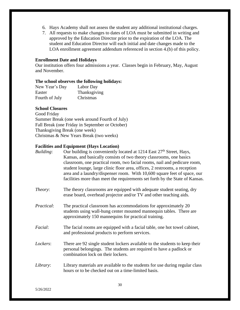- 6. Hays Academy shall not assess the student any additional institutional charges.
- 7. All requests to make changes to dates of LOA must be submitted in writing and approved by the Education Director prior to the expiration of the LOA. The student and Education Director will each initial and date changes made to the LOA enrollment agreement addendum referenced in section 4.(b) of this policy.

#### **Enrollment Date and Holidays**

Our institution offers four admissions a year. Classes begin in February, May, August and November.

#### **The school observes the following holidays:**

| New Year's Day | Labor Day    |
|----------------|--------------|
| Easter         | Thanksgiving |
| Fourth of July | Christmas    |

### **School Closures**

Good Friday Summer Break (one week around Fourth of July) Fall Break (one Friday in September or October) Thanksgiving Break (one week) Christmas & New Years Break (two weeks)

#### **Facilities and Equipment (Hays Location)**

| Building:  | Our building is conveniently located at 1214 East 27 <sup>th</sup> Street, Hays,<br>Kansas, and basically consists of two theory classrooms, one basics<br>classroom, one practical room, two facial rooms, nail and pedicure room,<br>student lounge, large clinic floor area, offices, 2 restrooms, a reception<br>area and a laundry/dispenser room. With 10,600 square feet of space, our<br>facilities more than meet the requirements set forth by the State of Kansas. |
|------------|-------------------------------------------------------------------------------------------------------------------------------------------------------------------------------------------------------------------------------------------------------------------------------------------------------------------------------------------------------------------------------------------------------------------------------------------------------------------------------|
| Theory:    | The theory classrooms are equipped with adequate student seating, dry<br>erase board, overhead projector and/or TV and other teaching aids.                                                                                                                                                                                                                                                                                                                                   |
| Practical: | The practical classroom has accommodations for approximately 20<br>students using wall-hung center mounted mannequin tables. There are<br>approximately 150 mannequins for practical training.                                                                                                                                                                                                                                                                                |
| Facial:    | The facial rooms are equipped with a facial table, one hot towel cabinet,<br>and professional products to perform services.                                                                                                                                                                                                                                                                                                                                                   |
| Lockers:   | There are 92 single student lockers available to the students to keep their<br>personal belongings. The students are required to have a padlock or<br>combination lock on their lockers.                                                                                                                                                                                                                                                                                      |
| Library:   | Library materials are available to the students for use during regular class<br>hours or to be checked out on a time-limited basis.                                                                                                                                                                                                                                                                                                                                           |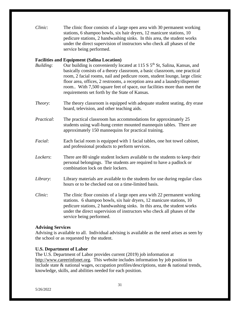*Clinic*: The clinic floor consists of a large open area with 30 permanent working stations, 6 shampoo bowls, six hair dryers, 12 manicure stations, 10 pedicure stations, 2 handwashing sinks. In this area, the student works under the direct supervision of instructors who check all phases of the service being performed.

### **Facilities and Equipment (Salina Location)**

- *Building*: Our building is conveniently located at 115 S 5<sup>th</sup> St, Salina, Kansas, and basically consists of a theory classroom, a basic classroom, one practical room, 2 facial rooms, nail and pedicure room, student lounge, large clinic floor area, offices, 2 restrooms, a reception area and a laundry/dispenser room.. With 7,500 square feet of space, our facilities more than meet the requirements set forth by the State of Kansas.
- *Theory*: The theory classroom is equipped with adequate student seating, dry erase board, television, and other teaching aids.
- *Practical*: The practical classroom has accommodations for approximately 25 students using wall-hung center mounted mannequin tables. There are approximately 150 mannequins for practical training.
- *Facial*: Each facial room is equipped with 1 facial tables, one hot towel cabinet, and professional products to perform services.
- *Lockers*: There are 80 single student lockers available to the students to keep their personal belongings. The students are required to have a padlock or combination lock on their lockers.
- *Library*: Library materials are available to the students for use during regular class hours or to be checked out on a time-limited basis.
- *Clinic*: The clinic floor consists of a large open area with 22 permanent working stations. 6 shampoo bowls, six hair dryers, 12 manicure stations, 10 pedicure stations, 2 handwashing sinks. In this area, the student works under the direct supervision of instructors who check all phases of the service being performed.

#### **Advising Services**

Advising is available to all. Individual advising is available as the need arises as seen by the school or as requested by the student.

# **U.S. Department of Labor**

The U.S. Department of Labor provides current (2019) job information at [http://www.careerinfonet.org.](http://www.careerinfonet.org/) This website includes information by job position to include state & national wages, occupation profiles/descriptions, state & national trends, knowledge, skills, and abilities needed for each position.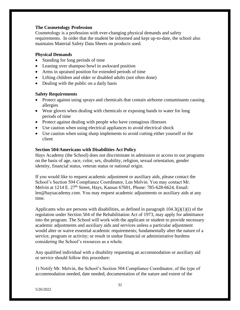## **The Cosmetology Profession**

Cosmetology is a profession with ever-changing physical demands and safety requirements. In order that the student be informed and kept up-to-date, the school also maintains Material Safety Data Sheets on products used.

### **Physical Demands**

- Standing for long periods of time
- Leaning over shampoo bowl in awkward position
- Arms in upraised position for extended periods of time
- Lifting children and older or disabled adults (not often done)
- Dealing with the public on a daily basis

### **Safety Requirements**

- Protect against using sprays and chemicals that contain airborne contaminants causing allergies
- Wear gloves when dealing with chemicals or exposing hands to water for long periods of time
- Protect against dealing with people who have contagious illnesses
- Use caution when using electrical appliances to avoid electrical shock
- Use caution when using sharp implements to avoid cutting either yourself or the client

### **Section 504/Americans with Disabilities Act Policy**

Hays Academy (the School) does not discriminate in admission or access to our programs on the basis of age, race, color, sex, disability, religion, sexual orientation, gender identity, financial status, veteran status or national origin.

If you would like to request academic adjustment or auxiliary aids, please contact the School's Section 504 Compliance Coordinator, Len Melvin. You may contact Mr. Melvin at 1214 E. 27<sup>th</sup> Street, Hays, Kansas 67601, Phone: 785-628-6624, Email: len@haysacademy.com. You may request academic adjustments or auxiliary aids at any time.

Applicants who are persons with disabilities, as defined in paragraph  $104.3(i)(1)(i)$  of the regulation under Section 504 of the Rehabilitation Act of 1973, may apply for admittance into the program. The School will work with the applicant or student to provide necessary academic adjustments and auxiliary aids and services unless a particular adjustment would alter or waive essential academic requirements; fundamentally alter the nature of a service, program or activity; or result in undue financial or administrative burdens considering the School's resources as a whole.

Any qualified individual with a disability requesting an accommodation or auxiliary aid or service should follow this procedure:

1) Notify Mr. Melvin, the School's Section 504 Compliance Coordinator, of the type of accommodation needed, date needed, documentation of the nature and extent of the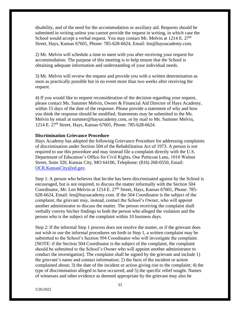disability, and of the need for the accommodation or auxiliary aid. Requests should be submitted in writing unless you cannot provide the request in writing, in which case the School would accept a verbal request. You may contact Mr. Melvin at  $1214$  E.  $27<sup>th</sup>$ Street, Hays, Kansas 67601, Phone: 785-628-6624, Email: len@haysacademy.com.

2) Mr. Melvin will schedule a time to meet with you after receiving your request for accommodation. The purpose of this meeting is to help ensure that the School is obtaining adequate information and understanding of your individual needs.

3) Mr. Melvin will review the request and provide you with a written determination as soon as practically possible but in no event more than two weeks after receiving the request.

4) If you would like to request reconsideration of the decision regarding your request, please contact Ms. Summer Melvin, Owner & Financial Aid Director of Hays Academy, within 15 days of the date of the response. Please provide a statement of why and how you think the response should be modified. Statements may be submitted to the Ms. Melvin by email at summer@haysacademy.com, or by mail to Ms. Summer Melvin, 1214 E. 27th Street, Hays, Kansas 67601, Phone: 785-628-6624.

#### **Discrimination Grievance Procedure**

Hays Academy has adopted the following Grievance Procedure for addressing complaints of discrimination under Section 504 of the Rehabilitation Act of 1973. A person is not required to use this procedure and may instead file a complaint directly with the U.S. Department of Education's Office for Civil Rights, One Petticoat Lane, 1010 Walnut Street, Suite 320, Kansas City, MO 64106, Telephone: (816) 268-0550, Email: [OCR.KansasCity@ed.gov.](mailto:OCR.KansasCity@ed.gov)

Step 1: A person who believes that he/she has been discriminated against by the School is encouraged, but is not required, to discuss the matter informally with the Section 504 Coordinator, Mr. Len Melvin at 1214 E. 27<sup>th</sup> Street, Hays, Kansas 67601, Phone: 785-628-6624, Email: len@haysacademy.com. If the 504 Coordinator is the subject of the complaint, the grievant may, instead, contact the School's Owner, who will appoint another administrator to discuss the matter. The person receiving the complaint shall verbally convey his/her findings to both the person who alleged the violation and the person who is the subject of the complaint within 10 business days.

Step 2: If the informal Step 1 process does not resolve the matter, or if the grievant does not wish to use the informal procedures set forth in Step 1, a written complaint may be submitted to the School's Section 504 Coordinator who will investigate the complaint. [NOTE: if the Section 504 Coordinator is the subject of the complaint, the complaint should be submitted to the School's Owner who will appoint another administrator to conduct the investigation]. The complaint shall be signed by the grievant and include 1) the grievant's name and contact information; 2) the facts of the incident or action complained about; 3) the date of the incident or action giving rise to the complaint; 4) the type of discrimination alleged to have occurred; and 5) the specific relief sought. Names of witnesses and other evidence as deemed appropriate by the grievant may also be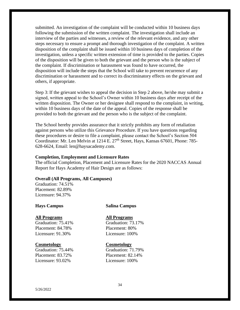submitted. An investigation of the complaint will be conducted within 10 business days following the submission of the written complaint. The investigation shall include an interview of the parties and witnesses, a review of the relevant evidence, and any other steps necessary to ensure a prompt and thorough investigation of the complaint. A written disposition of the complaint shall be issued within 10 business days of completion of the investigation, unless a specific written extension of time is provided to the parties. Copies of the disposition will be given to both the grievant and the person who is the subject of the complaint. If discrimination or harassment was found to have occurred, the disposition will include the steps that the School will take to prevent recurrence of any discrimination or harassment and to correct its discriminatory effects on the grievant and others, if appropriate.

Step 3: If the grievant wishes to appeal the decision in Step 2 above, he/she may submit a signed, written appeal to the School's Owner within 10 business days after receipt of the written disposition. The Owner or her designee shall respond to the complaint, in writing, within 10 business days of the date of the appeal. Copies of the response shall be provided to both the grievant and the person who is the subject of the complaint.

The School hereby provides assurance that it strictly prohibits any form of retaliation against persons who utilize this Grievance Procedure. If you have questions regarding these procedures or desire to file a complaint, please contact the School's Section 504 Coordinator: Mr. Len Melvin at 1214 E. 27<sup>th</sup> Street, Hays, Kansas 67601, Phone: 785-628-6624, Email: len@haysacademy.com.

#### **Completion, Employment and Licensure Rates**

The official Completion, Placement and Licensure Rates for the 2020 NACCAS Annual Report for Hays Academy of Hair Design are as follows:

#### **Overall (All Programs, All Campuses)**

Graduation: 74.51% Placement: 82.89% Licensure: 94.37%

#### **All Programs All Programs**

Placement: 84.78% Placement: 80% Licensure: 91.30% Licensure: 100%

### **Cosmetology Cosmetology**

Graduation: 75.44% Graduation: 71.79% Placement: 83.72% Placement: 82.14% Licensure: 93.02% Licensure: 100%

#### **Hays Campus Salina Campus**

Graduation: 75.41% Graduation: 73.17%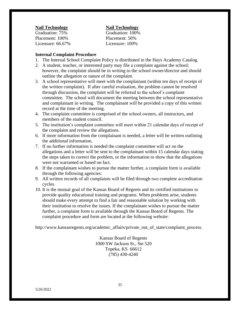# **Nail Technology Nail Technology** Graduation: 75% Graduation: 100% Placement: 100% Placement: 50%

Licensure: 66.67% Licensure: 100%

# **Internal Complaint Procedure**

- 1. The Internal School Complaint Policy is distributed in the Hays Academy Catalog.
- 2. A student, teacher, or interested party may file a complaint against the school; however, the complaint should be in writing to the school owner/director and should outline the allegation or nature of the complaint.
- 3. A school representative will meet with the complainant (within ten days of receipt of the written complaint). If after careful evaluation, the problem cannot be resolved through discussion, the complaint will be referred to the school's complaint committee. The school will document the meeting between the school representative and complainant in writing. The complainant will be provided a copy of this written record at the time of the meeting.
- 4. The complaint committee is comprised of the school owners, all instructors, and members of the student council.
- 5. The institution's complaint committee will meet within 21 calendar days of receipt of the complaint and review the allegations.
- 6. If more information from the complainant is needed, a letter will be written outlining the additional information.
- 7. If no further information is needed the complaint committee will act on the allegations and a letter will be sent to the complainant within 15 calendar days stating the steps taken to correct the problem, or the information to show that the allegations were not warranted or based on fact.
- 8. If the complainant wishes to pursue the matter further, a complaint form is available through the following agencies:
- 9. All written records of all complaints will be filed through two complete accreditation cycles.
- 10. It is the mutual goal of the Kansas Board of Regents and its certified institutions to provide quality educational training and programs. When problems arise, students should make every attempt to find a fair and reasonable solution by working with their institution to resolve the issues. If the complainant wishes to pursue the matter further, a complaint form is available through the Kansas Board of Regents. The complaint procedure and form are located at the following website:

http://www.kansasregents.org/academic\_affairs/private\_out\_of\_state/complaint\_process.

Kansas Board of Regents 1000 SW Jackson St., Ste 520 Topeka, KS 66612 (785) 430-4240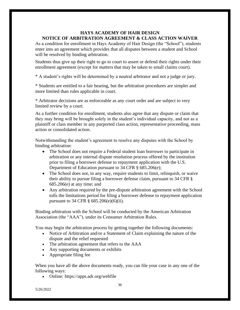# **HAYS ACADEMY OF HAIR DESIGN NOTICE OF ARBITRATION AGREEMENT & CLASS ACTION WAIVER**

As a condition for enrollment in Hays Academy of Hair Design (the "School"), students enter into an agreement which provides that all disputes between a student and School will be resolved by binding arbitration.

Students thus give up their right to go to court to assert or defend their rights under their enrollment agreement (except for matters that may be taken to small claims court).

\* A student's rights will be determined by a neutral arbitrator and not a judge or jury.

\* Students are entitled to a fair hearing, but the arbitration procedures are simpler and more limited than rules applicable in court.

\* Arbitrator decisions are as enforceable as any court order and are subject to very limited review by a court.

As a further condition for enrollment, students also agree that any dispute or claim that they may bring will be brought solely in the student's individual capacity, and not as a plaintiff or class member in any purported class action, representative proceeding, mass action or consolidated action.

Notwithstanding the student's agreement to resolve any disputes with the School by binding arbitration:

- The School does not require a Federal student loan borrower to participate in arbitration or any internal dispute resolution process offered by the institution prior to filing a borrower defense to repayment application with the U.S. Department of Education pursuant to 34 CFR § 685.206(e);
- The School does not, in any way, require students to limit, relinquish, or waive their ability to pursue filing a borrower defense claim, pursuant to 34 CFR § 685.206(e) at any time; and
- Any arbitration required by the pre-dispute arbitration agreement with the School tolls the limitations period for filing a borrower defense to repayment application pursuant to 34 CFR § 685.206(e)(6)(ii).

Binding arbitration with the School will be conducted by the American Arbitration Association (the "AAA"), under its Consumer Arbitration Rules.

You may begin the arbitration process by getting together the following documents:

- Notice of Arbitration and/or a Statement of Claim explaining the nature of the dispute and the relief requested
- The arbitration agreement that refers to the AAA
- Any supporting documents or exhibits
- Appropriate filing fee

When you have all the above documents ready, you can file your case in any one of the following ways:

• Online: https://apps.adr.org/webfile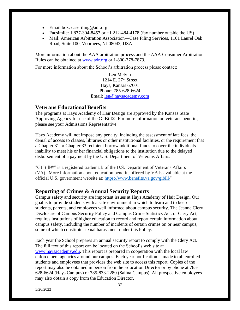- Email box: casefiling@adr.org
- Facsimile:  $1\,877-304-8457$  or  $+1\,212-484-4178$  (fax number outside the US)
- Mail: American Arbitration Association—Case Filing Services, 1101 Laurel Oak Road, Suite 100, Voorhees, NJ 08043, USA

More information about the AAA arbitration process and the AAA Consumer Arbitration Rules can be obtained at [www.adr.org](http://www.adr.org/) or 1-800-778-7879.

For more information about the School's arbitration process please contact:

Len Melvin 1214 E.  $27<sup>th</sup>$  Street Hays, Kansas 67601 Phone: 785-628-6624 Email: [len@haysacademy.com](mailto:len@haysacademy.com)

# **Veterans Educational Benefits**

The programs at Hays Academy of Hair Design are approved by the Kansas State Approving Agency for use of the GI Bill®. For more information on veterans benefits, please see your Admissions Representative.

Hays Academy will not impose any penalty, including the assessment of late fees, the denial of access to classes, libraries or other institutional facilities, or the requirement that a Chapter 31 or Chapter 33 recipient borrow additional funds to cover the individuals inability to meet his or her financial obligations to the institution due to the delayed disbursement of a payment by the U.S. Department of Veterans Affairs.

"GI Bill®" is a registered trademark of the U.S. Department of Veterans Affairs (VA). More information about education benefits offered by VA is available at the official U.S. government website at: [https://www.benefits.va.gov/gibill/"](https://gcc02.safelinks.protection.outlook.com/?url=https%3A%2F%2Fwww.benefits.va.gov%2Fgibill%2F&data=04%7C01%7CJoel.Gillaspie%40ks.gov%7Cc805f8b3791b48d404f608d9c16894d7%7Cdcae8101c92d480cbc43c6761ccccc5a%7C0%7C0%7C637753477313503734%7CUnknown%7CTWFpbGZsb3d8eyJWIjoiMC4wLjAwMDAiLCJQIjoiV2luMzIiLCJBTiI6Ik1haWwiLCJXVCI6Mn0%3D%7C3000&sdata=E21jJiGVzDYXi2VBvxPh0D4Nkl%2FHv9GtGzk1ERTekiE%3D&reserved=0)

# **Reporting of Crimes & Annual Security Reports**

Campus safety and security are important issues at Hays Academy of Hair Design. Our goal is to provide students with a safe environment in which to learn and to keep students, parents, and employees well informed about campus security. The Jeanne Clery Disclosure of Campus Security Policy and Campus Crime Statistics Act, or Clery Act, requires institutions of higher education to record and report certain information about campus safety, including the number of incidents of certain crimes on or near campus, some of which constitute sexual harassment under this Policy.

Each year the School prepares an annual security report to comply with the Clery Act. The full text of this report can be located on the School's web site at [www.haysacademy.edu.](http://www.haysacademy.edu/) This report is prepared in cooperation with the local law enforcement agencies around our campus. Each year notification is made to all enrolled students and employees that provides the web site to access this report. Copies of the report may also be obtained in person from the Education Director or by phone at 785- 628-6624 (Hays Campus) or 785-833-2280 (Salina Campus). All prospective employees may also obtain a copy from the Education Director.

5/26/2022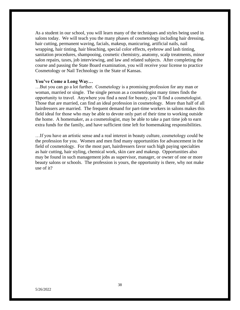As a student in our school, you will learn many of the techniques and styles being used in salons today. We will teach you the many phases of cosmetology including hair dressing, hair cutting, permanent waving, facials, makeup, manicuring, artificial nails, nail wrapping, hair tinting, hair bleaching, special color effects, eyebrow and lash tinting, sanitation procedures, shampooing, cosmetic chemistry, anatomy, scalp treatments, minor salon repairs, taxes, job interviewing, and law and related subjects. After completing the course and passing the State Board examination, you will receive your license to practice Cosmetology or Nail Technology in the State of Kansas.

#### **You've Come a Long Way…**

…But you can go a lot further. Cosmetology is a promising profession for any man or woman, married or single. The single person as a cosmetologist many times finds the opportunity to travel. Anywhere you find a need for beauty, you'll find a cosmetologist. Those that are married, can find an ideal profession in cosmetology. More than half of all hairdressers are married. The frequent demand for part-time workers in salons makes this field ideal for those who may be able to devote only part of their time to working outside the home. A homemaker, as a cosmetologist, may be able to take a part time job to earn extra funds for the family, and have sufficient time left for homemaking responsibilities.

…If you have an artistic sense and a real interest in beauty culture, cosmetology could be the profession for you. Women and men find many opportunities for advancement in the field of cosmetology. For the most part, hairdressers favor such high paying specialties as hair cutting, hair styling, chemical work, skin care and makeup. Opportunities also may be found in such management jobs as supervisor, manager, or owner of one or more beauty salons or schools. The profession is yours, the opportunity is there, why not make use of it?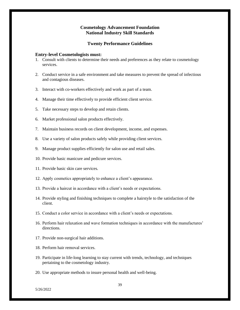#### **Cosmetology Advancement Foundation National Industry Skill Standards**

#### **Twenty Performance Guidelines**

#### **Entry-level Cosmetologists must:**

- 1. Consult with clients to determine their needs and preferences as they relate to cosmetology services.
- 2. Conduct service in a safe environment and take measures to prevent the spread of infectious and contagious diseases.
- 3. Interact with co-workers effectively and work as part of a team.
- 4. Manage their time effectively to provide efficient client service.
- 5. Take necessary steps to develop and retain clients.
- 6. Market professional salon products effectively.
- 7. Maintain business records on client development, income, and expenses.
- 8. Use a variety of salon products safely while providing client services.
- 9. Manage product supplies efficiently for salon use and retail sales.
- 10. Provide basic manicure and pedicure services.
- 11. Provide basic skin care services.
- 12. Apply cosmetics appropriately to enhance a client's appearance.
- 13. Provide a haircut in accordance with a client's needs or expectations.
- 14. Provide styling and finishing techniques to complete a hairstyle to the satisfaction of the client.
- 15. Conduct a color service in accordance with a client's needs or expectations.
- 16. Perform hair relaxation and wave formation techniques in accordance with the manufactures' directions.
- 17. Provide non-surgical hair additions.
- 18. Perform hair removal services.
- 19. Participate in life-long learning to stay current with trends, technology, and techniques pertaining to the cosmetology industry.
- 20. Use appropriate methods to insure personal health and well-being.

5/26/2022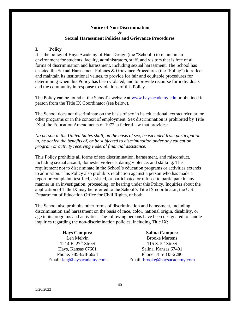#### **Notice of Non-Discrimination & Sexual Harassment Policies and Grievance Procedures**

#### **I. Policy**

It is the policy of Hays Academy of Hair Design (the "School") to maintain an environment for students, faculty, administrators, staff, and visitors that is free of all forms of discrimination and harassment, including sexual harassment. The School has enacted the Sexual Harassment Policies & Grievance Procedures (the "Policy") to reflect and maintain its institutional values, to provide for fair and equitable procedures for determining when this Policy has been violated, and to provide recourse for individuals and the community in response to violations of this Policy.

The Policy can be found at the School's website at [www.haysacademy.edu](http://www.haysacademy.edu/) or obtained in person from the Title IX Coordinator (see below).

The School does not discriminate on the basis of sex in its educational, extracurricular, or other programs or in the context of employment. Sex discrimination is prohibited by Title IX of the Education Amendments of 1972, a federal law that provides:

*No person in the United States shall, on the basis of sex, be excluded from participation in, be denied the benefits of, or be subjected to discrimination under any education program or activity receiving Federal financial assistance.*

This Policy prohibits all forms of sex discrimination, harassment, and misconduct, including sexual assault, domestic violence, dating violence, and stalking. The requirement not to discriminate in the School's education programs or activities extends to admission. This Policy also prohibits retaliation against a person who has made a report or complaint, testified, assisted, or participated or refused to participate in any manner in an investigation, proceeding, or hearing under this Policy. Inquiries about the application of Title IX may be referred to the School's Title IX coordinator, the U.S. Department of Education Office for Civil Rights, or both.

The School also prohibits other forms of discrimination and harassment, including discrimination and harassment on the basis of race, color, national origin, disability, or age in its programs and activities. The following persons have been designated to handle inquiries regarding the non-discrimination policies, including Title IX:

**Hays Campus:** Len Melvin 1214 E. 27<sup>th</sup> Street Hays, Kansas 67601 Phone: 785-628-6624 Email: [len@haysacademy.com](mailto:len@haysacademy.com) **Salina Campus:**

Brooke Martens 115 S.  $5<sup>th</sup>$  Street Salina, Kansas 67401 Phone: 785-833-2280 Email: [brooke@haysacademy.com](mailto:brooke@haysacademy.com)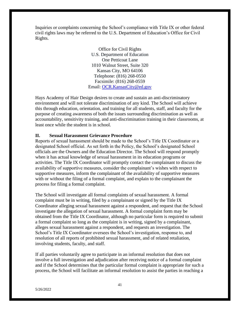Inquiries or complaints concerning the School's compliance with Title IX or other federal civil rights laws may be referred to the U.S. Department of Education's Office for Civil Rights.

> Office for Civil Rights U.S. Department of Education One Petticoat Lane 1010 Walnut Street, Suite 320 Kansas City, MO 64106 Telephone: (816) 268-0550 Facsimile: (816) 268-0559 Email: [OCR.KansasCity@ed.gov](mailto:OCR.KansasCity@ed.gov)

Hays Academy of Hair Design desires to create and sustain an anti-discriminatory environment and will not tolerate discrimination of any kind. The School will achieve this through education, orientation, and training for all students, staff, and faculty for the purpose of creating awareness of both the issues surrounding discrimination as well as accountability, sensitivity training, and anti-discrimination training in their classrooms, at least once while the student is in school.

# **II. Sexual Harassment Grievance Procedure**

Reports of sexual harassment should be made to the School's Title IX Coordinator or a designated School official. As set forth in the Policy, the School's designated School officials are the Owners and the Education Director. The School will respond promptly when it has actual knowledge of sexual harassment in its education programs or activities. The Title IX Coordinator will promptly contact the complainant to discuss the availability of supportive measures, consider the complainant's wishes with respect to supportive measures, inform the complainant of the availability of supportive measures with or without the filing of a formal complaint, and explain to the complainant the process for filing a formal complaint.

The School will investigate all formal complaints of sexual harassment. A formal complaint must be in writing, filed by a complainant or signed by the Title IX Coordinator alleging sexual harassment against a respondent, and request that the School investigate the allegation of sexual harassment. A formal complaint form may be obtained from the Title IX Coordinator, although no particular form is required to submit a formal complaint so long as the complaint is in writing, signed by a complainant, alleges sexual harassment against a respondent, and requests an investigation. The School's Title IX Coordinator oversees the School's investigation, response to, and resolution of all reports of prohibited sexual harassment, and of related retaliation, involving students, faculty, and staff.

If all parties voluntarily agree to participate in an informal resolution that does not involve a full investigation and adjudication after receiving notice of a formal complaint and if the School determines that the particular formal complaint is appropriate for such a process, the School will facilitate an informal resolution to assist the parties in reaching a